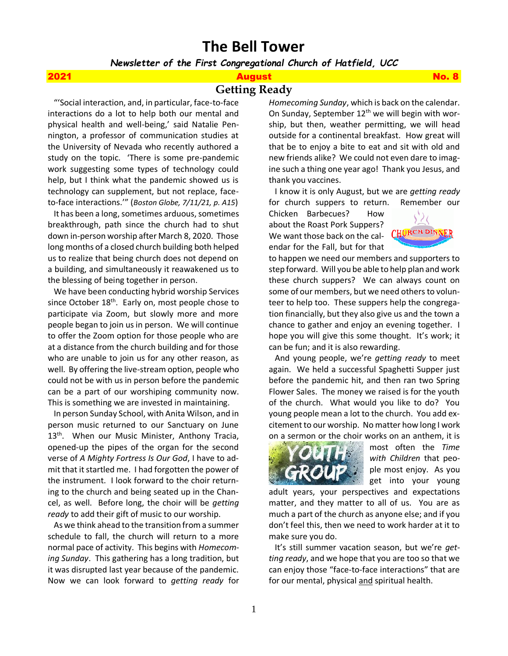# **The Bell Tower**

*Newsletter of the First Congregational Church of Hatfield, UCC*

# 2021 August No. 8

**Getting Ready** 

 "'Social interaction, and, in particular, face-to-face interactions do a lot to help both our mental and physical health and well-being,' said Natalie Pennington, a professor of communication studies at the University of Nevada who recently authored a study on the topic. 'There is some pre-pandemic work suggesting some types of technology could help, but I think what the pandemic showed us is technology can supplement, but not replace, faceto-face interactions.'" (*Boston Globe, 7/11/21, p. A15*)

 It has been a long, sometimes arduous, sometimes breakthrough, path since the church had to shut down in-person worship after March 8, 2020. Those long months of a closed church building both helped us to realize that being church does not depend on a building, and simultaneously it reawakened us to the blessing of being together in person.

 We have been conducting hybrid worship Services since October  $18<sup>th</sup>$ . Early on, most people chose to participate via Zoom, but slowly more and more people began to join us in person. We will continue to offer the Zoom option for those people who are at a distance from the church building and for those who are unable to join us for any other reason, as well. By offering the live-stream option, people who could not be with us in person before the pandemic can be a part of our worshiping community now. This is something we are invested in maintaining.

 In person Sunday School, with Anita Wilson, and in person music returned to our Sanctuary on June 13<sup>th</sup>. When our Music Minister, Anthony Tracia, opened-up the pipes of the organ for the second verse of *A Mighty Fortress Is Our God*, I have to admit that it startled me. I had forgotten the power of the instrument. I look forward to the choir returning to the church and being seated up in the Chancel, as well. Before long, the choir will be *getting ready* to add their gift of music to our worship.

 As we think ahead to the transition from a summer schedule to fall, the church will return to a more normal pace of activity. This begins with *Homecoming Sunday*. This gathering has a long tradition, but it was disrupted last year because of the pandemic. Now we can look forward to *getting ready* for *Homecoming Sunday*, which is back on the calendar. On Sunday, September  $12<sup>th</sup>$  we will begin with worship, but then, weather permitting, we will head outside for a continental breakfast. How great will that be to enjoy a bite to eat and sit with old and new friends alike? We could not even dare to imagine such a thing one year ago! Thank you Jesus, and thank you vaccines.

 I know it is only August, but we are *getting ready* for church suppers to return. Remember our

Chicken Barbecues? How about the Roast Pork Suppers? We want those back on the calendar for the Fall, but for that



to happen we need our members and supporters to step forward. Will you be able to help plan and work these church suppers? We can always count on some of our members, but we need others to volunteer to help too. These suppers help the congregation financially, but they also give us and the town a chance to gather and enjoy an evening together. I hope you will give this some thought. It's work; it can be fun; and it is also rewarding.

 And young people, we're *getting ready* to meet again. We held a successful Spaghetti Supper just before the pandemic hit, and then ran two Spring Flower Sales. The money we raised is for the youth of the church. What would you like to do? You young people mean a lot to the church. You add excitement to our worship. No matter how long I work on a sermon or the choir works on an anthem, it is



most often the *Time with Children* that people most enjoy. As you get into your young

adult years, your perspectives and expectations matter, and they matter to all of us. You are as much a part of the church as anyone else; and if you don't feel this, then we need to work harder at it to make sure you do.

 It's still summer vacation season, but we're *getting ready*, and we hope that you are too so that we can enjoy those "face-to-face interactions" that are for our mental, physical and spiritual health.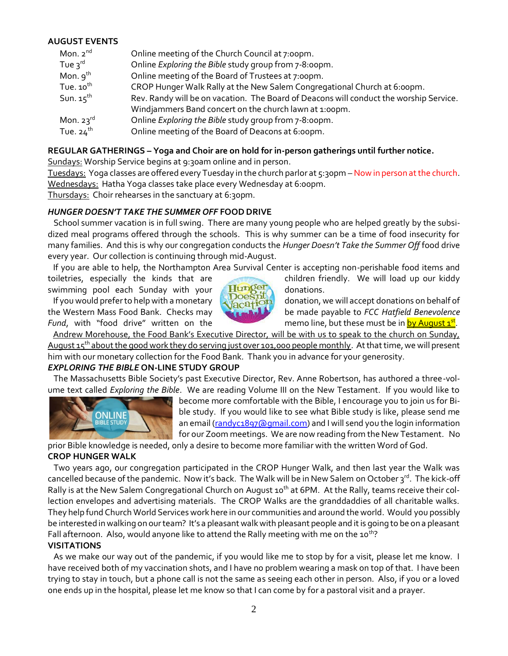# **AUGUST EVENTS**

| Mon. $2^{nd}$         | Online meeting of the Church Council at 7:00pm.                                        |
|-----------------------|----------------------------------------------------------------------------------------|
| Tue $3^{\text{rd}}$   | Online Exploring the Bible study group from 7-8:00pm.                                  |
| Mon. $9^{th}$         | Online meeting of the Board of Trustees at 7:00pm.                                     |
| Tue. $10^{\text{th}}$ | CROP Hunger Walk Rally at the New Salem Congregational Church at 6:00pm.               |
| Sun. $15^{\text{th}}$ | Rev. Randy will be on vacation. The Board of Deacons will conduct the worship Service. |
|                       | Windjammers Band concert on the church lawn at 1:00pm.                                 |
| Mon. $23^{\text{rd}}$ | Online <i>Exploring the Bible</i> study group from 7-8:00pm.                           |
| Tue. $24^{\text{th}}$ | Online meeting of the Board of Deacons at 6:00pm.                                      |

# **REGULAR GATHERINGS – Yoga and Choir are on hold for in-person gatherings until further notice.**

Sundays: Worship Service begins at 9:30am online and in person.

Tuesdays: Yoga classes are offered every Tuesday in the church parlor at 5:30pm - Now in person at the church. Wednesdays: Hatha Yoga classes take place every Wednesday at 6:00pm.

Thursdays: Choir rehearses in the sanctuary at 6:30pm.

# *HUNGER DOESN'T TAKE THE SUMMER OFF* **FOOD DRIVE**

School summer vacation is in full swing. There are many young people who are helped greatly by the subsidized meal programs offered through the schools. This is why summer can be a time of food insecurity for many families. And this is why our congregation conducts the *Hunger Doesn't Take the Summer Off* food drive every year. Our collection is continuing through mid-August.

If you are able to help, the Northampton Area Survival Center is accepting non-perishable food items and

swimming pool each Sunday with your **Hunger** donations.



toiletries, especially the kinds that are children friendly. We will load up our kiddy

If you would prefer to help with a monetary data tion, we will accept donations on behalf of the Western Mass Food Bank. Checks may be made payable to *FCC Hatfield Benevolence*  Fund, with "food drive" written on the memo line, but these must be in **by August 1<sup>st</sup>**.

 Andrew Morehouse, the Food Bank's Executive Director, will be with us to speak to the church on Sunday, August  $15^{th}$  about the good work they do serving just over 101,000 people monthly. At that time, we will present him with our monetary collection for the Food Bank. Thank you in advance for your generosity.

# *EXPLORING THE BIBLE* **ON-LINE STUDY GROUP**

The Massachusetts Bible Society's past Executive Director, Rev. Anne Robertson, has authored a three-volume text called *Exploring the Bible*. We are reading Volume III on the New Testament. If you would like to



become more comfortable with the Bible, I encourage you to join us for Bible study. If you would like to see what Bible study is like, please send me an email [\(randyc1897@gmail.com\)](mailto:randyc1897@gmail.com) and I will send you the login information for our Zoom meetings. We are now reading from the New Testament. No

prior Bible knowledge is needed, only a desire to become more familiar with the written Word of God.

### **CROP HUNGER WALK**

Two years ago, our congregation participated in the CROP Hunger Walk, and then last year the Walk was cancelled because of the pandemic. Now it's back. The Walk will be in New Salem on October 3<sup>rd</sup>. The kick-off Rally is at the New Salem Congregational Church on August 10<sup>th</sup> at 6PM. At the Rally, teams receive their collection envelopes and advertising materials. The CROP Walks are the granddaddies of all charitable walks. They help fund Church World Services work here in our communities and around the world. Would you possibly be interested in walking on our team? It's a pleasant walk with pleasant people and it is going to be on a pleasant Fall afternoon. Also, would anyone like to attend the Rally meeting with me on the 10<sup>th</sup>?

### **VISITATIONS**

As we make our way out of the pandemic, if you would like me to stop by for a visit, please let me know. I have received both of my vaccination shots, and I have no problem wearing a mask on top of that. I have been trying to stay in touch, but a phone call is not the same as seeing each other in person. Also, if you or a loved one ends up in the hospital, please let me know so that I can come by for a pastoral visit and a prayer.